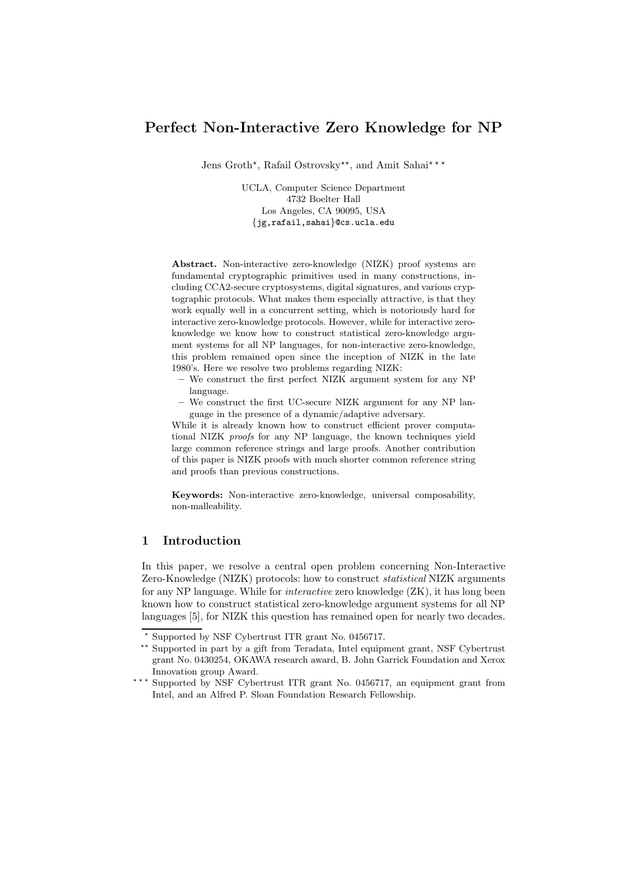# Perfect Non-Interactive Zero Knowledge for NP

Jens Groth\*, Rafail Ostrovsky\*\*, and Amit Sahai\*\*\*

UCLA, Computer Science Department 4732 Boelter Hall Los Angeles, CA 90095, USA {jg,rafail,sahai}@cs.ucla.edu

Abstract. Non-interactive zero-knowledge (NIZK) proof systems are fundamental cryptographic primitives used in many constructions, including CCA2-secure cryptosystems, digital signatures, and various cryptographic protocols. What makes them especially attractive, is that they work equally well in a concurrent setting, which is notoriously hard for interactive zero-knowledge protocols. However, while for interactive zeroknowledge we know how to construct statistical zero-knowledge argument systems for all NP languages, for non-interactive zero-knowledge, this problem remained open since the inception of NIZK in the late 1980's. Here we resolve two problems regarding NIZK:

- We construct the first perfect NIZK argument system for any NP language.
- We construct the first UC-secure NIZK argument for any NP language in the presence of a dynamic/adaptive adversary.

While it is already known how to construct efficient prover computational NIZK proofs for any NP language, the known techniques yield large common reference strings and large proofs. Another contribution of this paper is NIZK proofs with much shorter common reference string and proofs than previous constructions.

Keywords: Non-interactive zero-knowledge, universal composability, non-malleability.

# 1 Introduction

In this paper, we resolve a central open problem concerning Non-Interactive Zero-Knowledge (NIZK) protocols: how to construct statistical NIZK arguments for any NP language. While for interactive zero knowledge (ZK), it has long been known how to construct statistical zero-knowledge argument systems for all NP languages [5], for NIZK this question has remained open for nearly two decades.

 $\overline{\star}$  Supported by NSF Cybertrust ITR grant No. 0456717.

<sup>\*\*</sup> Supported in part by a gift from Teradata, Intel equipment grant, NSF Cybertrust grant No. 0430254, OKAWA research award, B. John Garrick Foundation and Xerox Innovation group Award.

<sup>\*\*\*</sup> Supported by NSF Cybertrust ITR grant No. 0456717, an equipment grant from Intel, and an Alfred P. Sloan Foundation Research Fellowship.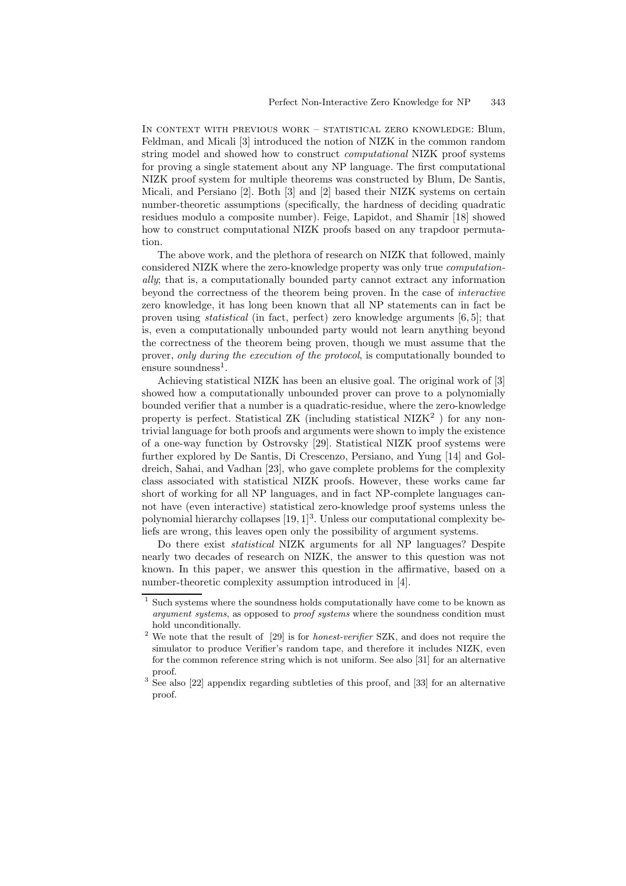In context with previous work – statistical zero knowledge: Blum, Feldman, and Micali [3] introduced the notion of NIZK in the common random string model and showed how to construct computational NIZK proof systems for proving a single statement about any NP language. The first computational NIZK proof system for multiple theorems was constructed by Blum, De Santis, Micali, and Persiano [2]. Both [3] and [2] based their NIZK systems on certain number-theoretic assumptions (specifically, the hardness of deciding quadratic residues modulo a composite number). Feige, Lapidot, and Shamir [18] showed how to construct computational NIZK proofs based on any trapdoor permutation.

The above work, and the plethora of research on NIZK that followed, mainly considered NIZK where the zero-knowledge property was only true computationally; that is, a computationally bounded party cannot extract any information beyond the correctness of the theorem being proven. In the case of interactive zero knowledge, it has long been known that all NP statements can in fact be proven using statistical (in fact, perfect) zero knowledge arguments [6, 5]; that is, even a computationally unbounded party would not learn anything beyond the correctness of the theorem being proven, though we must assume that the prover, only during the execution of the protocol, is computationally bounded to  $ensure$  soundness<sup>1</sup>.

Achieving statistical NIZK has been an elusive goal. The original work of [3] showed how a computationally unbounded prover can prove to a polynomially bounded verifier that a number is a quadratic-residue, where the zero-knowledge property is perfect. Statistical ZK (including statistical NIZK<sup>2</sup>) for any nontrivial language for both proofs and arguments were shown to imply the existence of a one-way function by Ostrovsky [29]. Statistical NIZK proof systems were further explored by De Santis, Di Crescenzo, Persiano, and Yung [14] and Goldreich, Sahai, and Vadhan [23], who gave complete problems for the complexity class associated with statistical NIZK proofs. However, these works came far short of working for all NP languages, and in fact NP-complete languages cannot have (even interactive) statistical zero-knowledge proof systems unless the polynomial hierarchy collapses  $[19, 1]^3$ . Unless our computational complexity beliefs are wrong, this leaves open only the possibility of argument systems.

Do there exist statistical NIZK arguments for all NP languages? Despite nearly two decades of research on NIZK, the answer to this question was not known. In this paper, we answer this question in the affirmative, based on a number-theoretic complexity assumption introduced in [4].

 $\frac{1}{1}$  Such systems where the soundness holds computationally have come to be known as argument systems, as opposed to proof systems where the soundness condition must hold unconditionally.

 $2$  We note that the result of [29] is for *honest-verifier* SZK, and does not require the simulator to produce Verifier's random tape, and therefore it includes NIZK, even for the common reference string which is not uniform. See also [31] for an alternative proof.

<sup>&</sup>lt;sup>3</sup> See also [22] appendix regarding subtleties of this proof, and [33] for an alternative proof.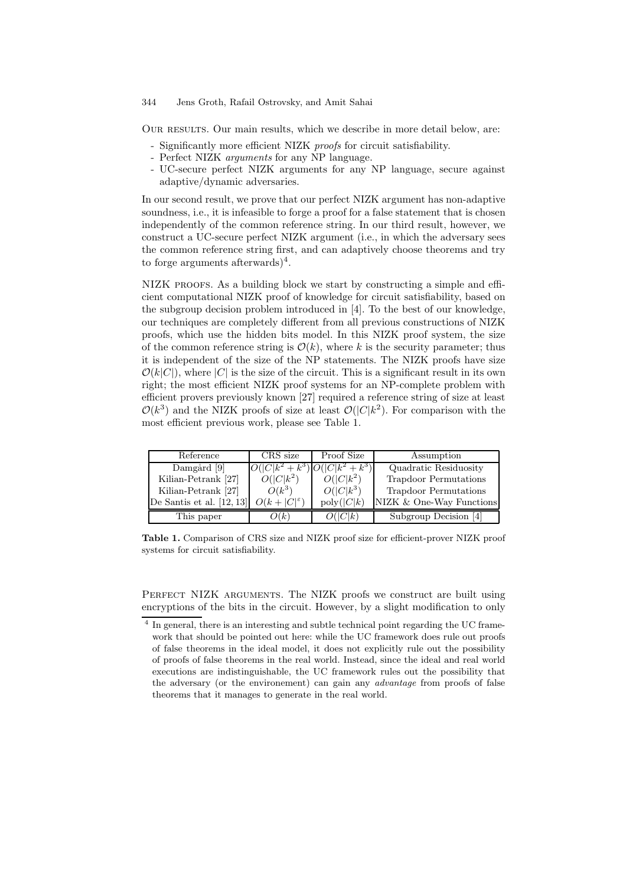OUR RESULTS. Our main results, which we describe in more detail below, are:

- Significantly more efficient NIZK proofs for circuit satisfiability.
- Perfect NIZK arguments for any NP language.
- UC-secure perfect NIZK arguments for any NP language, secure against adaptive/dynamic adversaries.

In our second result, we prove that our perfect NIZK argument has non-adaptive soundness, i.e., it is infeasible to forge a proof for a false statement that is chosen independently of the common reference string. In our third result, however, we construct a UC-secure perfect NIZK argument (i.e., in which the adversary sees the common reference string first, and can adaptively choose theorems and try to forge arguments afterwards $)^4$ .

NIZK PROOFS. As a building block we start by constructing a simple and efficient computational NIZK proof of knowledge for circuit satisfiability, based on the subgroup decision problem introduced in [4]. To the best of our knowledge, our techniques are completely different from all previous constructions of NIZK proofs, which use the hidden bits model. In this NIZK proof system, the size of the common reference string is  $\mathcal{O}(k)$ , where k is the security parameter; thus it is independent of the size of the NP statements. The NIZK proofs have size  $\mathcal{O}(k|C|)$ , where  $|C|$  is the size of the circuit. This is a significant result in its own right; the most efficient NIZK proof systems for an NP-complete problem with efficient provers previously known [27] required a reference string of size at least  $\mathcal{O}(k^3)$  and the NIZK proofs of size at least  $\mathcal{O}(|C|k^2)$ . For comparison with the most efficient previous work, please see Table 1.

| Reference                   | CRS size                       | Proof Size          | Assumption               |
|-----------------------------|--------------------------------|---------------------|--------------------------|
| Damgård [9]                 | $ O( C k^2+k^3) O( C k^2+k^3)$ |                     | Quadratic Residuosity    |
| Kilian-Petrank [27]         | $O( C k^2)$                    | $O( C k^2)$         | Trapdoor Permutations    |
| Kilian-Petrank [27]         | $O(k^3)$                       | $O( C k^3)$         | Trapdoor Permutations    |
| De Santis et al. $[12, 13]$ | $O(k+ C ^{\varepsilon})$       | $\text{poly}( C k)$ | NIZK & One-Way Functions |
| This paper                  | O(k)                           | O( C k)             | Subgroup Decision [4]    |

Table 1. Comparison of CRS size and NIZK proof size for efficient-prover NIZK proof systems for circuit satisfiability.

PERFECT NIZK ARGUMENTS. The NIZK proofs we construct are built using encryptions of the bits in the circuit. However, by a slight modification to only

<sup>&</sup>lt;sup>4</sup> In general, there is an interesting and subtle technical point regarding the UC framework that should be pointed out here: while the UC framework does rule out proofs of false theorems in the ideal model, it does not explicitly rule out the possibility of proofs of false theorems in the real world. Instead, since the ideal and real world executions are indistinguishable, the UC framework rules out the possibility that the adversary (or the environement) can gain any advantage from proofs of false theorems that it manages to generate in the real world.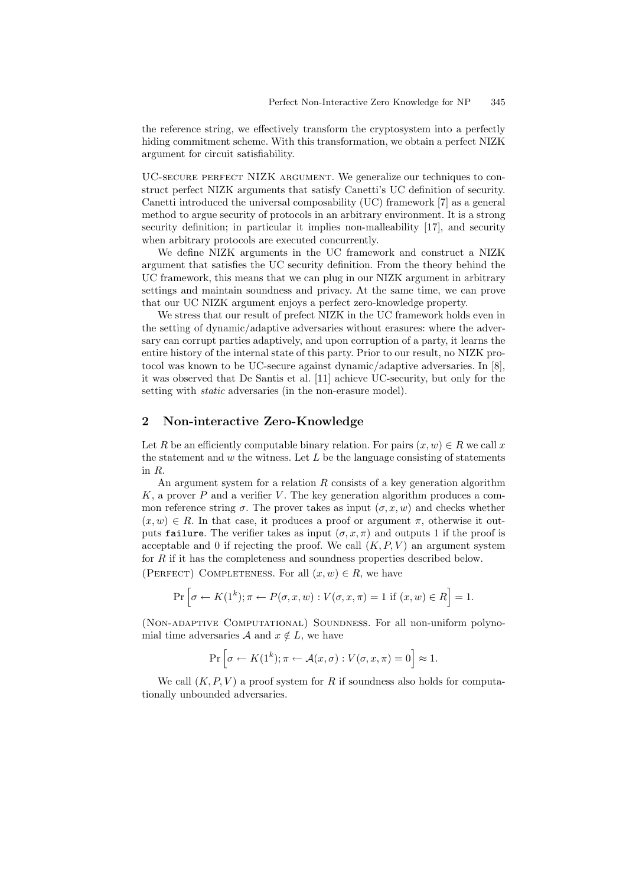the reference string, we effectively transform the cryptosystem into a perfectly hiding commitment scheme. With this transformation, we obtain a perfect NIZK argument for circuit satisfiability.

UC-SECURE PERFECT NIZK ARGUMENT. We generalize our techniques to construct perfect NIZK arguments that satisfy Canetti's UC definition of security. Canetti introduced the universal composability (UC) framework [7] as a general method to argue security of protocols in an arbitrary environment. It is a strong security definition; in particular it implies non-malleability [17], and security when arbitrary protocols are executed concurrently.

We define NIZK arguments in the UC framework and construct a NIZK argument that satisfies the UC security definition. From the theory behind the UC framework, this means that we can plug in our NIZK argument in arbitrary settings and maintain soundness and privacy. At the same time, we can prove that our UC NIZK argument enjoys a perfect zero-knowledge property.

We stress that our result of prefect NIZK in the UC framework holds even in the setting of dynamic/adaptive adversaries without erasures: where the adversary can corrupt parties adaptively, and upon corruption of a party, it learns the entire history of the internal state of this party. Prior to our result, no NIZK protocol was known to be UC-secure against dynamic/adaptive adversaries. In [8], it was observed that De Santis et al. [11] achieve UC-security, but only for the setting with *static* adversaries (in the non-erasure model).

## 2 Non-interactive Zero-Knowledge

Let R be an efficiently computable binary relation. For pairs  $(x, w) \in R$  we call x the statement and w the witness. Let  $L$  be the language consisting of statements in R.

An argument system for a relation  $R$  consists of a key generation algorithm K, a prover P and a verifier V. The key generation algorithm produces a common reference string  $\sigma$ . The prover takes as input  $(\sigma, x, w)$  and checks whether  $(x, w) \in R$ . In that case, it produces a proof or argument  $\pi$ , otherwise it outputs failure. The verifier takes as input  $(\sigma, x, \pi)$  and outputs 1 if the proof is acceptable and 0 if rejecting the proof. We call  $(K, P, V)$  an argument system for R if it has the completeness and soundness properties described below.

(PERFECT) COMPLETENESS. For all  $(x, w) \in R$ , we have

$$
\Pr\left[\sigma \leftarrow K(1^k); \pi \leftarrow P(\sigma, x, w) : V(\sigma, x, \pi) = 1 \text{ if } (x, w) \in R\right] = 1.
$$

(Non-adaptive Computational) Soundness. For all non-uniform polynomial time adversaries A and  $x \notin L$ , we have

$$
\Pr\left[\sigma \leftarrow K(1^k); \pi \leftarrow \mathcal{A}(x, \sigma) : V(\sigma, x, \pi) = 0\right] \approx 1.
$$

We call  $(K, P, V)$  a proof system for R if soundness also holds for computationally unbounded adversaries.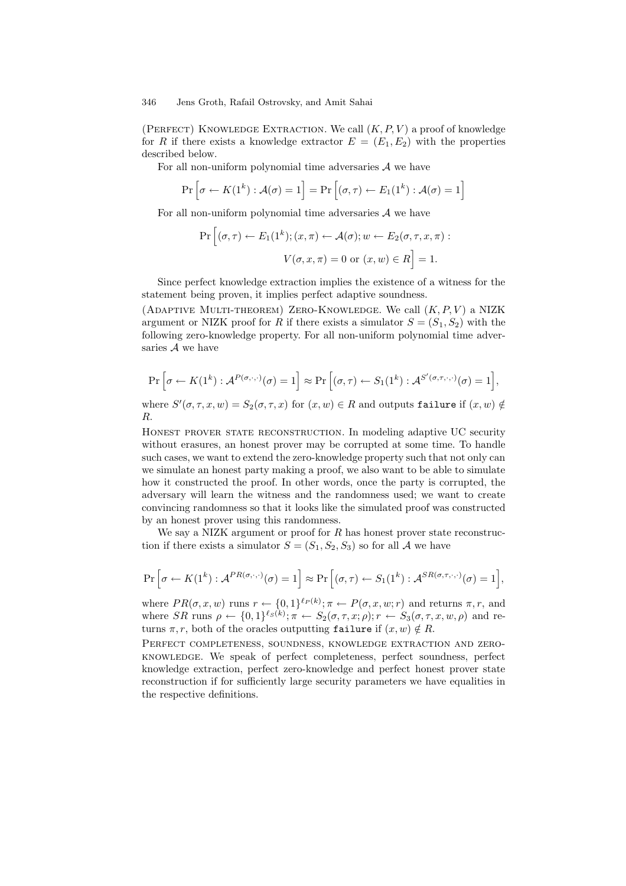(PERFECT) KNOWLEDGE EXTRACTION. We call  $(K, P, V)$  a proof of knowledge for R if there exists a knowledge extractor  $E = (E_1, E_2)$  with the properties described below.

For all non-uniform polynomial time adversaries  $A$  we have

$$
\Pr\left[\sigma \leftarrow K(1^k) : \mathcal{A}(\sigma) = 1\right] = \Pr\left[(\sigma, \tau) \leftarrow E_1(1^k) : \mathcal{A}(\sigma) = 1\right]
$$

For all non-uniform polynomial time adversaries  $A$  we have

$$
\Pr\left[(\sigma,\tau) \leftarrow E_1(1^k); (x,\pi) \leftarrow \mathcal{A}(\sigma); w \leftarrow E_2(\sigma,\tau,x,\pi):
$$

$$
V(\sigma,x,\pi) = 0 \text{ or } (x,w) \in R\right] = 1.
$$

Since perfect knowledge extraction implies the existence of a witness for the statement being proven, it implies perfect adaptive soundness.

(ADAPTIVE MULTI-THEOREM) ZERO-KNOWLEDGE. We call  $(K, P, V)$  a NIZK argument or NIZK proof for R if there exists a simulator  $S = (S_1, S_2)$  with the following zero-knowledge property. For all non-uniform polynomial time adversaries  $A$  we have

$$
\Pr\left[\sigma \leftarrow K(1^k) : \mathcal{A}^{P(\sigma,\cdot,\cdot)}(\sigma) = 1\right] \approx \Pr\left[(\sigma,\tau) \leftarrow S_1(1^k) : \mathcal{A}^{S'(\sigma,\tau,\cdot,\cdot)}(\sigma) = 1\right],
$$

where  $S'(\sigma, \tau, x, w) = S_2(\sigma, \tau, x)$  for  $(x, w) \in R$  and outputs failure if  $(x, w) \notin R_2$ R.

HONEST PROVER STATE RECONSTRUCTION. In modeling adaptive UC security without erasures, an honest prover may be corrupted at some time. To handle such cases, we want to extend the zero-knowledge property such that not only can we simulate an honest party making a proof, we also want to be able to simulate how it constructed the proof. In other words, once the party is corrupted, the adversary will learn the witness and the randomness used; we want to create convincing randomness so that it looks like the simulated proof was constructed by an honest prover using this randomness.

We say a NIZK argument or proof for  $R$  has honest prover state reconstruction if there exists a simulator  $S = (S_1, S_2, S_3)$  so for all A we have

$$
\Pr\left[\sigma \leftarrow K(1^k) : \mathcal{A}^{PR(\sigma,\cdot,\cdot)}(\sigma) = 1\right] \approx \Pr\left[(\sigma,\tau) \leftarrow S_1(1^k) : \mathcal{A}^{SR(\sigma,\tau,\cdot,\cdot)}(\sigma) = 1\right],
$$

where  $PR(\sigma, x, w)$  runs  $r \leftarrow \{0, 1\}^{\ell_P(k)}; \pi \leftarrow P(\sigma, x, w; r)$  and returns  $\pi, r$ , and where  $SR$  runs  $\rho \leftarrow \{0,1\}^{\ell_S(k)}; \pi \leftarrow S_2(\sigma, \tau, x; \rho); r \leftarrow S_3(\sigma, \tau, x, w, \rho)$  and returns  $\pi, r$ , both of the oracles outputting failure if  $(x, w) \notin R$ .

Perfect completeness, soundness, knowledge extraction and zeroknowledge. We speak of perfect completeness, perfect soundness, perfect knowledge extraction, perfect zero-knowledge and perfect honest prover state reconstruction if for sufficiently large security parameters we have equalities in the respective definitions.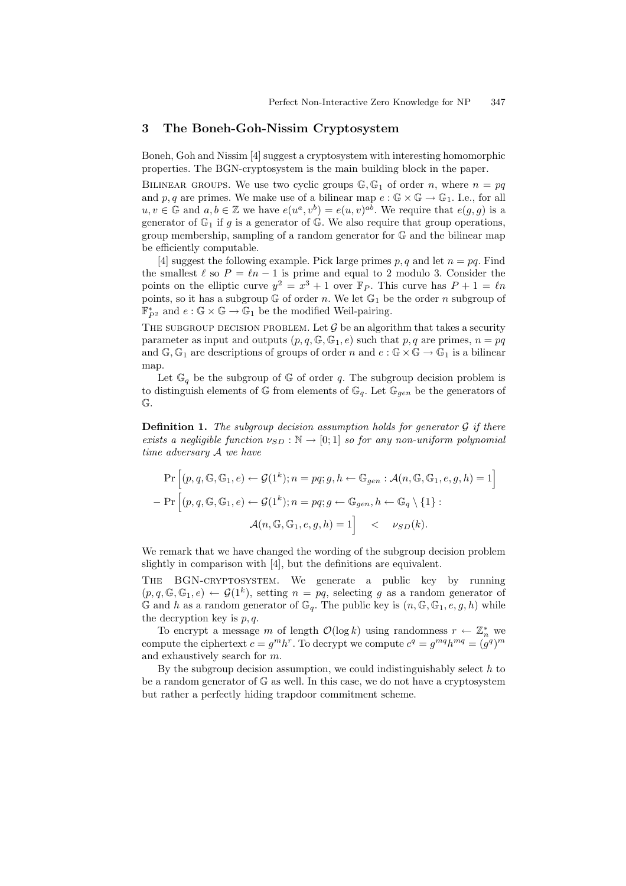## 3 The Boneh-Goh-Nissim Cryptosystem

Boneh, Goh and Nissim [4] suggest a cryptosystem with interesting homomorphic properties. The BGN-cryptosystem is the main building block in the paper.

BILINEAR GROUPS. We use two cyclic groups  $\mathbb{G}, \mathbb{G}_1$  of order n, where  $n = pq$ and p, q are primes. We make use of a bilinear map  $e : \mathbb{G} \times \mathbb{G} \to \mathbb{G}_1$ . I.e., for all  $u, v \in \mathbb{G}$  and  $a, b \in \mathbb{Z}$  we have  $e(u^a, v^b) = e(u, v)^{a\overline{b}}$ . We require that  $e(g, g)$  is a generator of  $\mathbb{G}_1$  if g is a generator of  $\mathbb{G}$ . We also require that group operations, group membership, sampling of a random generator for G and the bilinear map be efficiently computable.

[4] suggest the following example. Pick large primes  $p, q$  and let  $n = pq$ . Find the smallest  $\ell$  so  $P = \ell n - 1$  is prime and equal to 2 modulo 3. Consider the points on the elliptic curve  $y^2 = x^3 + 1$  over  $\mathbb{F}_P$ . This curve has  $P + 1 = \ell n$ points, so it has a subgroup  $\mathbb G$  of order n. We let  $\mathbb G_1$  be the order n subgroup of  $\mathbb{F}_{P^2}^*$  and  $e: \mathbb{G} \times \mathbb{G} \to \mathbb{G}_1$  be the modified Weil-pairing.

THE SUBGROUP DECISION PROBLEM. Let  $\mathcal G$  be an algorithm that takes a security parameter as input and outputs  $(p, q, \mathbb{G}, \mathbb{G}_1, e)$  such that p, q are primes,  $n = pq$ and  $\mathbb{G}, \mathbb{G}_1$  are descriptions of groups of order n and  $e : \mathbb{G} \times \mathbb{G} \to \mathbb{G}_1$  is a bilinear map.

Let  $\mathbb{G}_q$  be the subgroup of  $\mathbb{G}$  of order q. The subgroup decision problem is to distinguish elements of  $\mathbb{G}$  from elements of  $\mathbb{G}_q$ . Let  $\mathbb{G}_{gen}$  be the generators of  $\mathbb{G}$ .

**Definition 1.** The subgroup decision assumption holds for generator  $\mathcal{G}$  if there exists a negligible function  $\nu_{SD} : \mathbb{N} \to [0, 1]$  so for any non-uniform polynomial time adversary A we have

$$
\Pr\left[(p, q, \mathbb{G}, \mathbb{G}_1, e) \leftarrow \mathcal{G}(1^k); n = pq; g, h \leftarrow \mathbb{G}_{gen} : \mathcal{A}(n, \mathbb{G}, \mathbb{G}_1, e, g, h) = 1\right] \\
-\Pr\left[(p, q, \mathbb{G}, \mathbb{G}_1, e) \leftarrow \mathcal{G}(1^k); n = pq; g \leftarrow \mathbb{G}_{gen}, h \leftarrow \mathbb{G}_q \setminus \{1\} : \\
\mathcal{A}(n, \mathbb{G}, \mathbb{G}_1, e, g, h) = 1\right] < \nu_{SD}(k).
$$

We remark that we have changed the wording of the subgroup decision problem slightly in comparison with [4], but the definitions are equivalent.

The BGN-cryptosystem. We generate a public key by running  $(p, q, \mathbb{G}, \mathbb{G}_1, e) \leftarrow \mathcal{G}(1^k)$ , setting  $n = pq$ , selecting g as a random generator of  $\mathbb{G}$  and h as a random generator of  $\mathbb{G}_q$ . The public key is  $(n, \mathbb{G}, \mathbb{G}_1, e, g, h)$  while the decryption key is  $p, q$ .

To encrypt a message m of length  $\mathcal{O}(\log k)$  using randomness  $r \leftarrow \mathbb{Z}_n^*$  we compute the ciphertext  $c = g^m h^r$ . To decrypt we compute  $c^q = g^{mq}h^{mq} = (g^q)^m$ and exhaustively search for m.

By the subgroup decision assumption, we could indistinguishably select  $h$  to be a random generator of  $\mathbb{G}$  as well. In this case, we do not have a cryptosystem but rather a perfectly hiding trapdoor commitment scheme.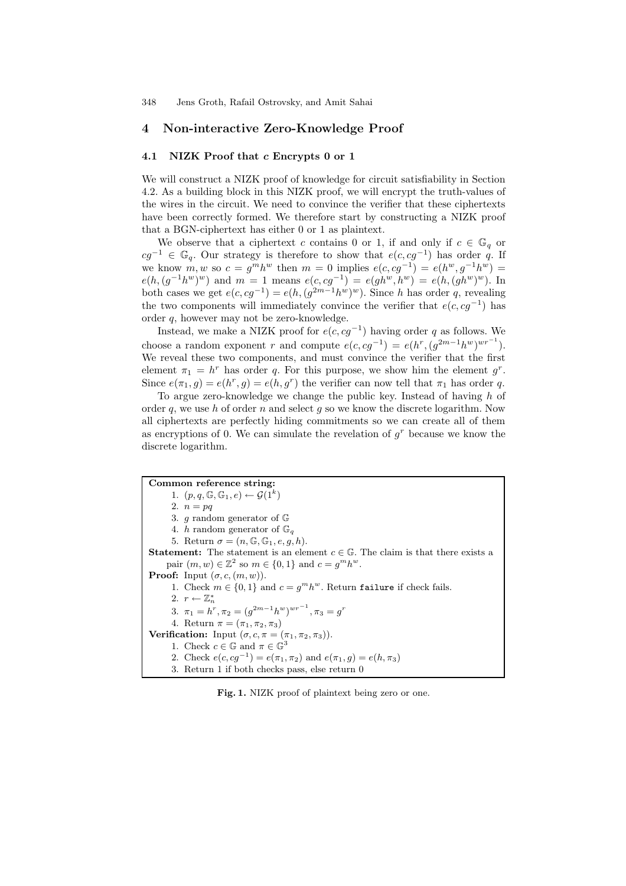## 4 Non-interactive Zero-Knowledge Proof

### 4.1 NIZK Proof that c Encrypts 0 or 1

We will construct a NIZK proof of knowledge for circuit satisfiability in Section 4.2. As a building block in this NIZK proof, we will encrypt the truth-values of the wires in the circuit. We need to convince the verifier that these ciphertexts have been correctly formed. We therefore start by constructing a NIZK proof that a BGN-ciphertext has either 0 or 1 as plaintext.

We observe that a ciphertext c contains 0 or 1, if and only if  $c \in \mathbb{G}_q$  or  $cg^{-1} \in \mathbb{G}_q$ . Our strategy is therefore to show that  $e(c, cg^{-1})$  has order q. If we know m, w so  $c = g^m h^w$  then  $m = 0$  implies  $e(c, cg^{-1}) = e(h^w, g^{-1}h^w)$  $e(h,(g^{-1}h^w)^w)$  and  $m=1$  means  $e(c,cg^{-1})=e(gh^w,h^w)=e(h,(gh^w)^w)$ . In both cases we get  $e(c, cg^{-1}) = e(h, (g^{2m-1}h^w)^w)$ . Since h has order q, revealing the two components will immediately convince the verifier that  $e(c, cg^{-1})$  has order q, however may not be zero-knowledge.

Instead, we make a NIZK proof for  $e(c, cg^{-1})$  having order q as follows. We choose a random exponent r and compute  $e(c, cg^{-1}) = e(h^r, (g^{2m-1}h^w)^{wr^{-1}})$ . We reveal these two components, and must convince the verifier that the first element  $\pi_1 = h^r$  has order q. For this purpose, we show him the element  $g^r$ . Since  $e(\pi_1, g) = e(h^r, g) = e(h, g^r)$  the verifier can now tell that  $\pi_1$  has order q.

To argue zero-knowledge we change the public key. Instead of having  $h$  of order  $q$ , we use  $h$  of order  $n$  and select  $g$  so we know the discrete logarithm. Now all ciphertexts are perfectly hiding commitments so we can create all of them as encryptions of 0. We can simulate the revelation of  $g<sup>r</sup>$  because we know the discrete logarithm.

Common reference string: 1.  $(p, q, \mathbb{G}, \mathbb{G}_1, e) \leftarrow \mathcal{G}(1^k)$ 2.  $n = pq$ 3. g random generator of G 4. *h* random generator of  $\mathbb{G}_q$ 5. Return  $\sigma = (n, \mathbb{G}, \mathbb{G}_1, e, g, h)$ . **Statement:** The statement is an element  $c \in \mathbb{G}$ . The claim is that there exists a pair  $(m, w) \in \mathbb{Z}^2$  so  $m \in \{0, 1\}$  and  $c = g^m h^w$ . **Proof:** Input  $(\sigma, c, (m, w))$ . 1. Check  $m \in \{0,1\}$  and  $c = g^m h^w$ . Return failure if check fails. 2.  $r \leftarrow \mathbb{Z}_n^*$ 3.  $\pi_1 = h^r, \pi_2 = (g^{2m-1}h^w)^{wr^{-1}}, \pi_3 = g^r$ 4. Return  $\pi = (\pi_1, \pi_2, \pi_3)$ **Verification:** Input  $(\sigma, c, \pi = (\pi_1, \pi_2, \pi_3)).$ 1. Check  $c \in \mathbb{G}$  and  $\pi \in \mathbb{G}^3$ 2. Check  $e(c, cg^{-1}) = e(\pi_1, \pi_2)$  and  $e(\pi_1, g) = e(h, \pi_3)$ 3. Return 1 if both checks pass, else return 0

Fig. 1. NIZK proof of plaintext being zero or one.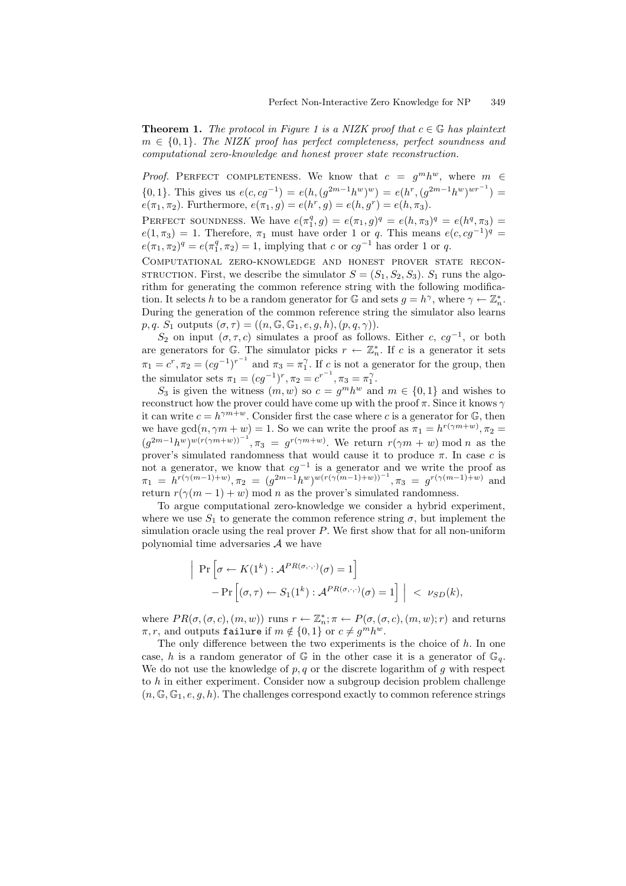**Theorem 1.** The protocol in Figure 1 is a NIZK proof that  $c \in \mathbb{G}$  has plaintext  $m \in \{0, 1\}$ . The NIZK proof has perfect completeness, perfect soundness and computational zero-knowledge and honest prover state reconstruction.

*Proof.* PERFECT COMPLETENESS. We know that  $c = g^m h^w$ , where  $m \in$  $\{0,1\}$ . This gives us  $e(c, cg^{-1}) = e(h, (g^{2m-1}h^w)^w) = e(h^r, (g^{2m-1}h^w)^{wr^{-1}}) =$  $e(\pi_1, \pi_2)$ . Furthermore,  $e(\pi_1, g) = e(h^r, g) = e(h, g^r) = e(h, \pi_3)$ .

PERFECT SOUNDNESS. We have  $e(\pi_1^q, g) = e(\pi_1, g)^q = e(h, \pi_3)^q = e(h^q, \pi_3) =$  $e(1, \pi_3) = 1$ . Therefore,  $\pi_1$  must have order 1 or q. This means  $e(c, cg^{-1})^q =$  $e(\pi_1, \pi_2)^q = e(\pi_1^q, \pi_2) = 1$ , implying that c or  $cg^{-1}$  has order 1 or q.

Computational zero-knowledge and honest prover state recon-STRUCTION. First, we describe the simulator  $S = (S_1, S_2, S_3)$ .  $S_1$  runs the algorithm for generating the common reference string with the following modification. It selects h to be a random generator for  $\mathbb G$  and sets  $g = h^{\gamma}$ , where  $\gamma \leftarrow \mathbb{Z}_n^*$ . During the generation of the common reference string the simulator also learns p, q. S<sub>1</sub> outputs  $(\sigma, \tau) = ((n, \mathbb{G}, \mathbb{G}_1, e, g, h), (p, q, \gamma)).$ 

S<sub>2</sub> on input  $(\sigma, \tau, c)$  simulates a proof as follows. Either c, cg<sup>-1</sup>, or both are generators for G. The simulator picks  $r \leftarrow \mathbb{Z}_n^*$ . If c is a generator it sets  $\pi_1 = c^r, \pi_2 = (cg^{-1})^{r^{-1}}$  and  $\pi_3 = \pi_1^{\gamma}$ . If c is not a generator for the group, then the simulator sets  $\pi_1 = (cg^{-1})^r, \pi_2 = c^{r^{-1}}, \pi_3 = \pi_1^{\gamma}$ .

S<sub>3</sub> is given the witness  $(m, w)$  so  $c = g^m h^w$  and  $m \in \{0, 1\}$  and wishes to reconstruct how the prover could have come up with the proof  $\pi$ . Since it knows  $\gamma$ it can write  $c = h^{\gamma m + w}$ . Consider first the case where c is a generator for G, then we have  $gcd(n, \gamma m + w) = 1$ . So we can write the proof as  $\pi_1 = h^{r(\gamma m + w)}, \pi_2 =$  $(g^{2m-1}h^{w})^{w(r(\gamma m+w))^{-1}}, \pi_{3} = g^{r(\gamma m+w)}$ . We return  $r(\gamma m+w)$  mod n as the prover's simulated randomness that would cause it to produce  $\pi$ . In case c is not a generator, we know that  $cg^{-1}$  is a generator and we write the proof as  $\pi_1 = h^{r(\gamma(m-1)+w)}, \pi_2 = (g^{2m-1}h^w)^{w(r(\gamma(m-1)+w))^{-1}}, \pi_3 = g^{r(\gamma(m-1)+w)}$  and return  $r(\gamma(m-1)+w)$  mod *n* as the prover's simulated randomness.

To argue computational zero-knowledge we consider a hybrid experiment, where we use  $S_1$  to generate the common reference string  $\sigma$ , but implement the simulation oracle using the real prover  $P$ . We first show that for all non-uniform polynomial time adversaries A we have

$$
\left| \Pr \left[ \sigma \leftarrow K(1^k) : \mathcal{A}^{PR(\sigma, \cdot, \cdot)}(\sigma) = 1 \right] - \Pr \left[ (\sigma, \tau) \leftarrow S_1(1^k) : \mathcal{A}^{PR(\sigma, \cdot, \cdot)}(\sigma) = 1 \right] \right| < \nu_{SD}(k),
$$

where  $PR(\sigma, (\sigma, c), (m, w))$  runs  $r \leftarrow \mathbb{Z}_n^*$ ;  $\pi \leftarrow P(\sigma, (\sigma, c), (m, w); r)$  and returns  $\pi, r$ , and outputs failure if  $m \notin \{0, 1\}$  or  $c \neq g^m h^w$ .

The only difference between the two experiments is the choice of  $h$ . In one case, h is a random generator of  $\mathbb G$  in the other case it is a generator of  $\mathbb G_q$ . We do not use the knowledge of  $p, q$  or the discrete logarithm of  $q$  with respect to h in either experiment. Consider now a subgroup decision problem challenge  $(n, \mathbb{G}, \mathbb{G}_1, e, q, h)$ . The challenges correspond exactly to common reference strings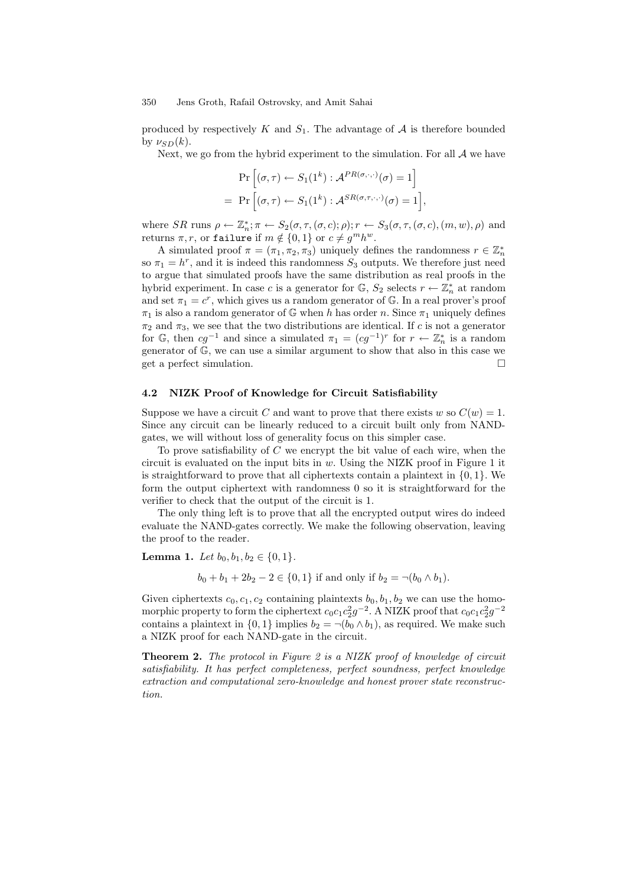produced by respectively K and  $S_1$ . The advantage of A is therefore bounded by  $\nu_{SD}(k)$ .

Next, we go from the hybrid experiment to the simulation. For all  $A$  we have

$$
\Pr\left[(\sigma,\tau) \leftarrow S_1(1^k) : \mathcal{A}^{PR(\sigma,\cdot,\cdot)}(\sigma) = 1\right]
$$

$$
= \Pr\left[(\sigma,\tau) \leftarrow S_1(1^k) : \mathcal{A}^{SR(\sigma,\tau,\cdot,\cdot)}(\sigma) = 1\right],
$$

where  $SR$  runs  $\rho \leftarrow \mathbb{Z}_n^*$ ;  $\pi \leftarrow S_2(\sigma, \tau, (\sigma, c); \rho); r \leftarrow S_3(\sigma, \tau, (\sigma, c), (m, w), \rho)$  and returns  $\pi, r$ , or failure if  $m \notin \{0, 1\}$  or  $c \neq g^m h^w$ .

A simulated proof  $\pi = (\pi_1, \pi_2, \pi_3)$  uniquely defines the randomness  $r \in \mathbb{Z}_n^*$ so  $\pi_1 = h^r$ , and it is indeed this randomness  $S_3$  outputs. We therefore just need to argue that simulated proofs have the same distribution as real proofs in the hybrid experiment. In case c is a generator for  $\mathbb{G}, S_2$  selects  $r \leftarrow \mathbb{Z}_n^*$  at random and set  $\pi_1 = c^r$ , which gives us a random generator of G. In a real prover's proof  $\pi_1$  is also a random generator of G when h has order n. Since  $\pi_1$  uniquely defines  $\pi_2$  and  $\pi_3$ , we see that the two distributions are identical. If c is not a generator for  $\mathbb{G}$ , then  $cg^{-1}$  and since a simulated  $\pi_1 = (cg^{-1})^r$  for  $r \leftarrow \mathbb{Z}_n^*$  is a random generator of G, we can use a similar argument to show that also in this case we get a perfect simulation.

## 4.2 NIZK Proof of Knowledge for Circuit Satisfiability

Suppose we have a circuit C and want to prove that there exists w so  $C(w) = 1$ . Since any circuit can be linearly reduced to a circuit built only from NANDgates, we will without loss of generality focus on this simpler case.

To prove satisfiability of  $C$  we encrypt the bit value of each wire, when the circuit is evaluated on the input bits in  $w$ . Using the NIZK proof in Figure 1 it is straightforward to prove that all ciphertexts contain a plaintext in  $\{0, 1\}$ . We form the output ciphertext with randomness 0 so it is straightforward for the verifier to check that the output of the circuit is 1.

The only thing left is to prove that all the encrypted output wires do indeed evaluate the NAND-gates correctly. We make the following observation, leaving the proof to the reader.

Lemma 1. Let  $b_0, b_1, b_2 \in \{0, 1\}$ .

 $b_0 + b_1 + 2b_2 - 2 \in \{0, 1\}$  if and only if  $b_2 = \neg(b_0 \wedge b_1)$ .

Given ciphertexts  $c_0, c_1, c_2$  containing plaintexts  $b_0, b_1, b_2$  we can use the homomorphic property to form the ciphertext  $c_0c_1c_2^2g^{-2}$ . A NIZK proof that  $c_0c_1c_2^2g^{-2}$ contains a plaintext in  $\{0,1\}$  implies  $b_2 = \neg(b_0 \wedge b_1)$ , as required. We make such a NIZK proof for each NAND-gate in the circuit.

Theorem 2. The protocol in Figure 2 is a NIZK proof of knowledge of circuit satisfiability. It has perfect completeness, perfect soundness, perfect knowledge extraction and computational zero-knowledge and honest prover state reconstruction.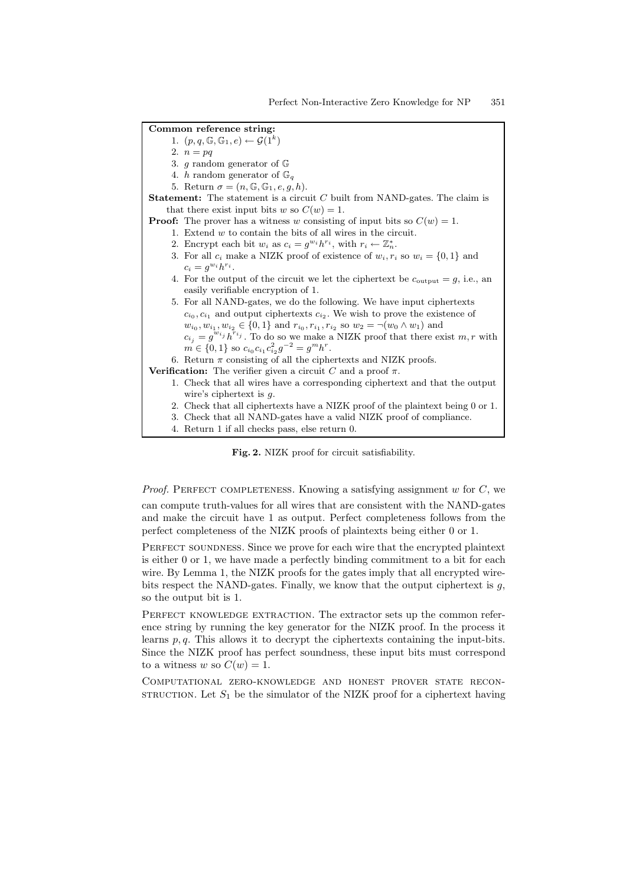Common reference string: 1.  $(p, q, \mathbb{G}, \mathbb{G}_1, e) \leftarrow \mathcal{G}(1^k)$ 2.  $n = pq$ 3. g random generator of  $\mathbb G$ 4. h random generator of  $\mathbb{G}_q$ 5. Return  $\sigma = (n, \mathbb{G}, \mathbb{G}_1, e, g, h)$ . Statement: The statement is a circuit C built from NAND-gates. The claim is that there exist input bits w so  $C(w) = 1$ . **Proof:** The prover has a witness w consisting of input bits so  $C(w) = 1$ . 1. Extend w to contain the bits of all wires in the circuit. 2. Encrypt each bit  $w_i$  as  $c_i = g^{w_i} h^{r_i}$ , with  $r_i \leftarrow \mathbb{Z}_n^*$ . 3. For all  $c_i$  make a NIZK proof of existence of  $w_i, r_i$  so  $w_i = \{0, 1\}$  and  $c_i = g^{w_i} h^{r_i}.$ 4. For the output of the circuit we let the ciphertext be  $c_{\text{output}} = g$ , i.e., an easily verifiable encryption of 1. 5. For all NAND-gates, we do the following. We have input ciphertexts  $c_{i_0}, c_{i_1}$  and output ciphertexts  $c_{i_2}$ . We wish to prove the existence of  $w_{i_0}, w_{i_1}, w_{i_2} \in \{0, 1\}$  and  $r_{i_0}, r_{i_1}, r_{i_2}$  so  $w_2 = \neg(w_0 \wedge w_1)$  and  $c_{i_j} = g^{\omega_{i_j}} h^{r_{i_j}}$ . To do so we make a NIZK proof that there exist  $m, r$  with  $m \in \{0, 1\}$  so  $c_{i_0} c_{i_1} c_{i_2}^2 g^{-2} = g^m h^r$ . 6. Return  $\pi$  consisting of all the ciphertexts and NIZK proofs. **Verification:** The verifier given a circuit C and a proof  $\pi$ . 1. Check that all wires have a corresponding ciphertext and that the output wire's ciphertext is g. 2. Check that all ciphertexts have a NIZK proof of the plaintext being 0 or 1. 3. Check that all NAND-gates have a valid NIZK proof of compliance. 4. Return 1 if all checks pass, else return 0.

Fig. 2. NIZK proof for circuit satisfiability.

*Proof.* PERFECT COMPLETENESS. Knowing a satisfying assignment  $w$  for  $C$ , we

can compute truth-values for all wires that are consistent with the NAND-gates and make the circuit have 1 as output. Perfect completeness follows from the perfect completeness of the NIZK proofs of plaintexts being either 0 or 1.

PERFECT SOUNDNESS. Since we prove for each wire that the encrypted plaintext is either 0 or 1, we have made a perfectly binding commitment to a bit for each wire. By Lemma 1, the NIZK proofs for the gates imply that all encrypted wirebits respect the NAND-gates. Finally, we know that the output ciphertext is  $q$ , so the output bit is 1.

PERFECT KNOWLEDGE EXTRACTION. The extractor sets up the common reference string by running the key generator for the NIZK proof. In the process it learns  $p, q$ . This allows it to decrypt the ciphertexts containing the input-bits. Since the NIZK proof has perfect soundness, these input bits must correspond to a witness w so  $C(w) = 1$ .

Computational zero-knowledge and honest prover state recon-STRUCTION. Let  $S_1$  be the simulator of the NIZK proof for a ciphertext having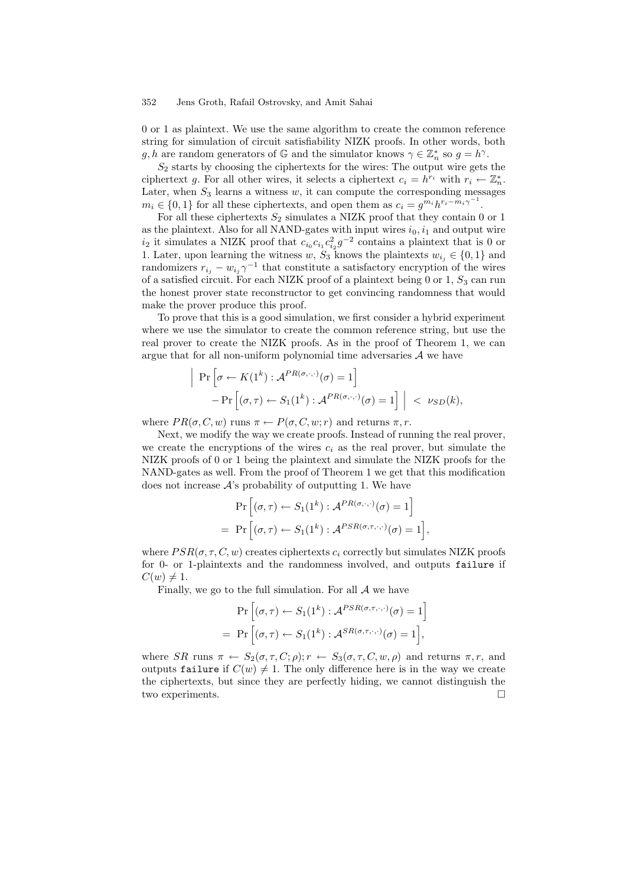0 or 1 as plaintext. We use the same algorithm to create the common reference string for simulation of circuit satisfiability NIZK proofs. In other words, both g, h are random generators of  $\mathbb G$  and the simulator knows  $\gamma \in \mathbb{Z}_n^*$  so  $g = h^{\gamma}$ .

 $S<sub>2</sub>$  starts by choosing the ciphertexts for the wires: The output wire gets the ciphertext g. For all other wires, it selects a ciphertext  $c_i = h^{r_i}$  with  $r_i \leftarrow \mathbb{Z}_n^*$ . Later, when  $S_3$  learns a witness  $w$ , it can compute the corresponding messages  $m_i \in \{0,1\}$  for all these ciphertexts, and open them as  $c_i = g^{m_i} h^{r_i - m_i \gamma^{-1}}$ .

For all these ciphertexts  $S_2$  simulates a NIZK proof that they contain 0 or 1 as the plaintext. Also for all NAND-gates with input wires  $i_0, i_1$  and output wire  $i_2$  it simulates a NIZK proof that  $c_{i_0}c_{i_1}c_{i_2}^2g^{-2}$  contains a plaintext that is 0 or 1. Later, upon learning the witness w,  $S_3$  knows the plaintexts  $w_{i_j} \in \{0, 1\}$  and randomizers  $r_{i_j} - w_{i_j} \gamma^{-1}$  that constitute a satisfactory encryption of the wires of a satisfied circuit. For each NIZK proof of a plaintext being  $0$  or  $1, S_3$  can run the honest prover state reconstructor to get convincing randomness that would make the prover produce this proof.

To prove that this is a good simulation, we first consider a hybrid experiment where we use the simulator to create the common reference string, but use the real prover to create the NIZK proofs. As in the proof of Theorem 1, we can argue that for all non-uniform polynomial time adversaries  $A$  we have

$$
\left| \Pr \left[ \sigma \leftarrow K(1^k) : \mathcal{A}^{PR(\sigma,\cdot,\cdot)}(\sigma) = 1 \right] - \Pr \left[ (\sigma, \tau) \leftarrow S_1(1^k) : \mathcal{A}^{PR(\sigma,\cdot,\cdot)}(\sigma) = 1 \right] \right| < \nu_{SD}(k),
$$

where  $PR(\sigma, C, w)$  runs  $\pi \leftarrow P(\sigma, C, w; r)$  and returns  $\pi, r$ .

Next, we modify the way we create proofs. Instead of running the real prover, we create the encryptions of the wires  $c_i$  as the real prover, but simulate the NIZK proofs of 0 or 1 being the plaintext and simulate the NIZK proofs for the NAND-gates as well. From the proof of Theorem 1 we get that this modification does not increase  $\mathcal{A}$ 's probability of outputting 1. We have

$$
\Pr\left[(\sigma,\tau) \leftarrow S_1(1^k) : \mathcal{A}^{PR(\sigma,\cdot,\cdot)}(\sigma) = 1\right]
$$

$$
= \Pr\left[(\sigma,\tau) \leftarrow S_1(1^k) : \mathcal{A}^{PSR(\sigma,\tau,\cdot,\cdot)}(\sigma) = 1\right],
$$

where  $PSR(\sigma, \tau, C, w)$  creates ciphertexts  $c_i$  correctly but simulates NIZK proofs for 0- or 1-plaintexts and the randomness involved, and outputs failure if  $C(w) \neq 1.$ 

Finally, we go to the full simulation. For all  $\mathcal A$  we have

$$
\Pr\left[(\sigma,\tau) \leftarrow S_1(1^k) : \mathcal{A}^{PSR(\sigma,\tau,\cdot,\cdot)}(\sigma) = 1\right]
$$

$$
= \Pr\left[(\sigma,\tau) \leftarrow S_1(1^k) : \mathcal{A}^{SR(\sigma,\tau,\cdot,\cdot)}(\sigma) = 1\right],
$$

where SR runs  $\pi \leftarrow S_2(\sigma, \tau, C; \rho); r \leftarrow S_3(\sigma, \tau, C, w, \rho)$  and returns  $\pi, r$ , and outputs failure if  $C(w) \neq 1$ . The only difference here is in the way we create the ciphertexts, but since they are perfectly hiding, we cannot distinguish the two experiments.  $\Box$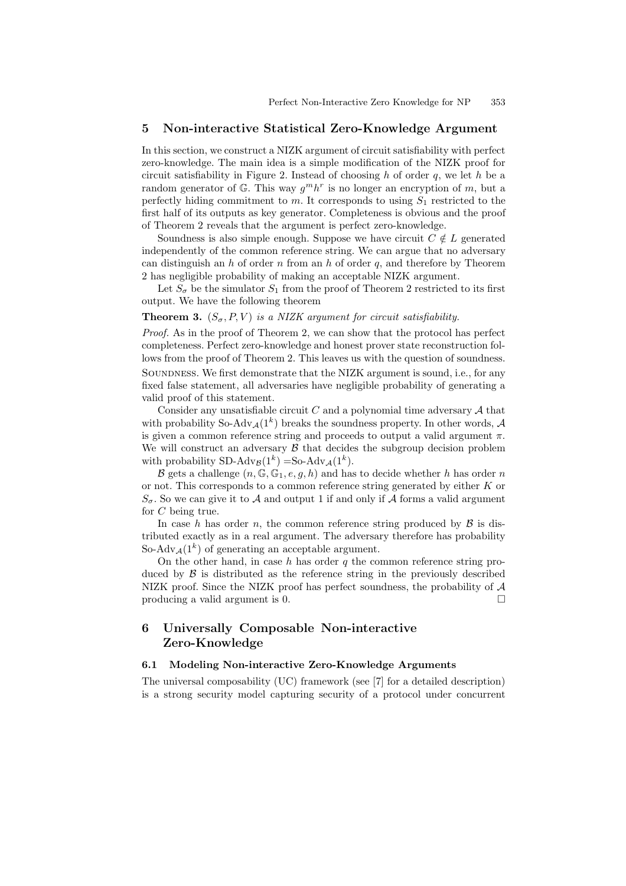## 5 Non-interactive Statistical Zero-Knowledge Argument

In this section, we construct a NIZK argument of circuit satisfiability with perfect zero-knowledge. The main idea is a simple modification of the NIZK proof for circuit satisfiability in Figure 2. Instead of choosing  $h$  of order  $q$ , we let  $h$  be a random generator of G. This way  $g^m h^r$  is no longer an encryption of m, but a perfectly hiding commitment to  $m$ . It corresponds to using  $S_1$  restricted to the first half of its outputs as key generator. Completeness is obvious and the proof of Theorem 2 reveals that the argument is perfect zero-knowledge.

Soundness is also simple enough. Suppose we have circuit  $C \notin L$  generated independently of the common reference string. We can argue that no adversary can distinguish an h of order n from an h of order q, and therefore by Theorem 2 has negligible probability of making an acceptable NIZK argument.

Let  $S_{\sigma}$  be the simulator  $S_1$  from the proof of Theorem 2 restricted to its first output. We have the following theorem

## **Theorem 3.**  $(S_{\sigma}, P, V)$  is a NIZK argument for circuit satisfiability.

Proof. As in the proof of Theorem 2, we can show that the protocol has perfect completeness. Perfect zero-knowledge and honest prover state reconstruction follows from the proof of Theorem 2. This leaves us with the question of soundness. SOUNDNESS. We first demonstrate that the NIZK argument is sound, i.e., for any fixed false statement, all adversaries have negligible probability of generating a valid proof of this statement.

Consider any unsatisfiable circuit  $C$  and a polynomial time adversary  $A$  that with probability So-Adv<sub>A</sub>( $1<sup>k</sup>$ ) breaks the soundness property. In other words, A is given a common reference string and proceeds to output a valid argument  $\pi$ . We will construct an adversary  $\beta$  that decides the subgroup decision problem with probability SD-Adv<sub>B</sub> $(1^k)$  =So-Adv<sub>A</sub> $(1^k)$ .

B gets a challenge  $(n, \mathbb{G}, \mathbb{G}_1, e, g, h)$  and has to decide whether h has order n or not. This corresponds to a common reference string generated by either K or  $S_{\sigma}$ . So we can give it to A and output 1 if and only if A forms a valid argument for  $C$  being true.

In case h has order n, the common reference string produced by  $\beta$  is distributed exactly as in a real argument. The adversary therefore has probability So-Adv<sub>A</sub> $(1^k)$  of generating an acceptable argument.

On the other hand, in case h has order q the common reference string produced by  $\beta$  is distributed as the reference string in the previously described NIZK proof. Since the NIZK proof has perfect soundness, the probability of  $A$ producing a valid argument is 0.

# 6 Universally Composable Non-interactive Zero-Knowledge

## 6.1 Modeling Non-interactive Zero-Knowledge Arguments

The universal composability (UC) framework (see [7] for a detailed description) is a strong security model capturing security of a protocol under concurrent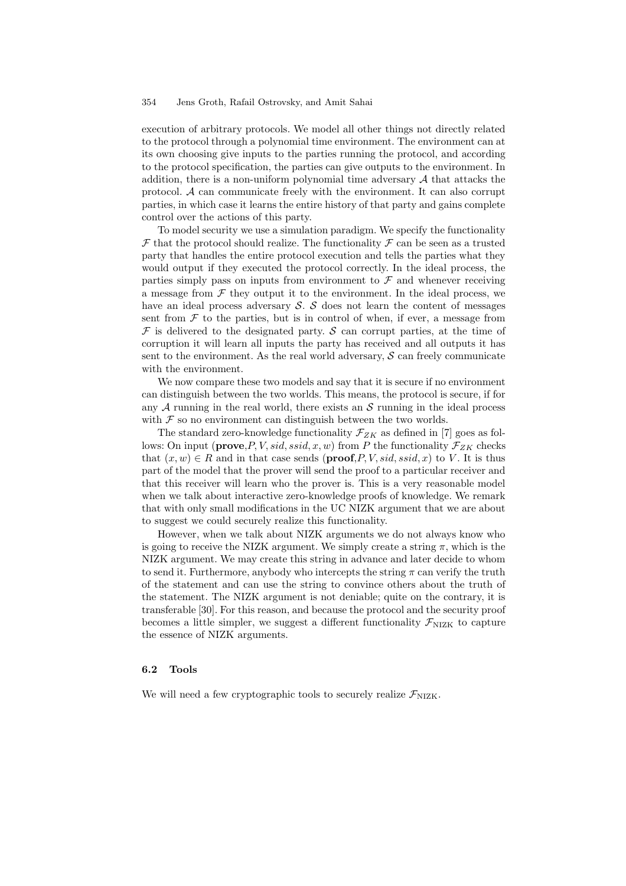execution of arbitrary protocols. We model all other things not directly related to the protocol through a polynomial time environment. The environment can at its own choosing give inputs to the parties running the protocol, and according to the protocol specification, the parties can give outputs to the environment. In addition, there is a non-uniform polynomial time adversary  $A$  that attacks the protocol. A can communicate freely with the environment. It can also corrupt parties, in which case it learns the entire history of that party and gains complete control over the actions of this party.

To model security we use a simulation paradigm. We specify the functionality  $\mathcal F$  that the protocol should realize. The functionality  $\mathcal F$  can be seen as a trusted party that handles the entire protocol execution and tells the parties what they would output if they executed the protocol correctly. In the ideal process, the parties simply pass on inputs from environment to  $\mathcal F$  and whenever receiving a message from  $\mathcal F$  they output it to the environment. In the ideal process, we have an ideal process adversary  $S$ . S does not learn the content of messages sent from  $\mathcal F$  to the parties, but is in control of when, if ever, a message from  $\mathcal F$  is delivered to the designated party. S can corrupt parties, at the time of corruption it will learn all inputs the party has received and all outputs it has sent to the environment. As the real world adversary,  $S$  can freely communicate with the environment.

We now compare these two models and say that it is secure if no environment can distinguish between the two worlds. This means, the protocol is secure, if for any  $A$  running in the real world, there exists an  $S$  running in the ideal process with  $\mathcal F$  so no environment can distinguish between the two worlds.

The standard zero-knowledge functionality  $\mathcal{F}_{ZK}$  as defined in [7] goes as follows: On input (**prove**, P, V, sid, ssid, x, w) from P the functionality  $\mathcal{F}_{ZK}$  checks that  $(x, w) \in R$  and in that case sends (**proof**, *P*, *V*, sid, ssid, *x*) to *V*. It is thus part of the model that the prover will send the proof to a particular receiver and that this receiver will learn who the prover is. This is a very reasonable model when we talk about interactive zero-knowledge proofs of knowledge. We remark that with only small modifications in the UC NIZK argument that we are about to suggest we could securely realize this functionality.

However, when we talk about NIZK arguments we do not always know who is going to receive the NIZK argument. We simply create a string  $\pi$ , which is the NIZK argument. We may create this string in advance and later decide to whom to send it. Furthermore, anybody who intercepts the string  $\pi$  can verify the truth of the statement and can use the string to convince others about the truth of the statement. The NIZK argument is not deniable; quite on the contrary, it is transferable [30]. For this reason, and because the protocol and the security proof becomes a little simpler, we suggest a different functionality  $\mathcal{F}_{\text{NIZK}}$  to capture the essence of NIZK arguments.

#### 6.2 Tools

We will need a few cryptographic tools to securely realize  $\mathcal{F}_{\text{NIZK}}$ .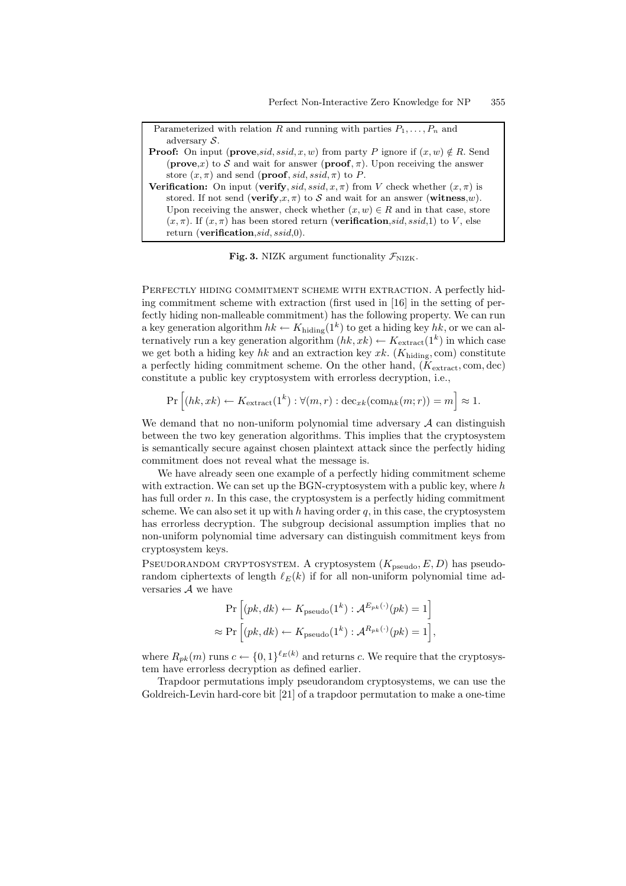Parameterized with relation R and running with parties  $P_1, \ldots, P_n$  and adversary S.

- **Proof:** On input (prove,sid, ssid, x, w) from party P ignore if  $(x, w) \notin R$ . Send (**prove**,*x*) to *S* and wait for answer (**proof**,  $\pi$ ). Upon receiving the answer store  $(x, \pi)$  and send (proof, sid, ssid,  $\pi$ ) to P.
- **Verification:** On input (verify, sid, ssid, x,  $\pi$ ) from V check whether  $(x, \pi)$  is stored. If not send (verify, $x, \pi$ ) to S and wait for an answer (witness,w). Upon receiving the answer, check whether  $(x, w) \in R$  and in that case, store  $(x, \pi)$ . If  $(x, \pi)$  has been stored return (**verification**,sid, ssid, 1) to V, else return (**verification**, $sid, ssid,0)$ .

Fig. 3. NIZK argument functionality  $\mathcal{F}_{\text{NIZK}}$ .

PERFECTLY HIDING COMMITMENT SCHEME WITH EXTRACTION. A perfectly hiding commitment scheme with extraction (first used in [16] in the setting of perfectly hiding non-malleable commitment) has the following property. We can run a key generation algorithm  $hk \leftarrow K_{\text{hiding}}(1^k)$  to get a hiding key  $hk$ , or we can alternatively run a key generation algorithm  $(hk, xk) \leftarrow K_{\text{extract}}(1^k)$  in which case we get both a hiding key hk and an extraction key xk.  $(K_{\text{hidden}}$ , com) constitute a perfectly hiding commitment scheme. On the other hand,  $(K_{\text{extract}}, \text{com}, \text{dec})$ constitute a public key cryptosystem with errorless decryption, i.e.,

$$
\Pr\left[(hk,xk) \leftarrow K_{\text{extract}}(1^k) : \forall (m,r) : \text{dec}_{xk}(\text{com}_{hk}(m;r)) = m\right] \approx 1.
$$

We demand that no non-uniform polynomial time adversary  $A$  can distinguish between the two key generation algorithms. This implies that the cryptosystem is semantically secure against chosen plaintext attack since the perfectly hiding commitment does not reveal what the message is.

We have already seen one example of a perfectly hiding commitment scheme with extraction. We can set up the BGN-cryptosystem with a public key, where  $h$ has full order n. In this case, the cryptosystem is a perfectly hiding commitment scheme. We can also set it up with h having order  $q$ , in this case, the cryptosystem has errorless decryption. The subgroup decisional assumption implies that no non-uniform polynomial time adversary can distinguish commitment keys from cryptosystem keys.

PSEUDORANDOM CRYPTOSYSTEM. A cryptosystem  $(K_{pseudo}, E, D)$  has pseudorandom ciphertexts of length  $\ell_E(k)$  if for all non-uniform polynomial time adversaries A we have

$$
\Pr\left[(pk,dk) \leftarrow K_{\text{pseudo}}(1^k) : \mathcal{A}^{E_{pk}(\cdot)}(pk) = 1\right]
$$
  

$$
\approx \Pr\left[(pk,dk) \leftarrow K_{\text{pseudo}}(1^k) : \mathcal{A}^{R_{pk}(\cdot)}(pk) = 1\right],
$$

where  $R_{pk}(m)$  runs  $c \leftarrow \{0,1\}^{\ell_E(k)}$  and returns c. We require that the cryptosystem have errorless decryption as defined earlier.

Trapdoor permutations imply pseudorandom cryptosystems, we can use the Goldreich-Levin hard-core bit [21] of a trapdoor permutation to make a one-time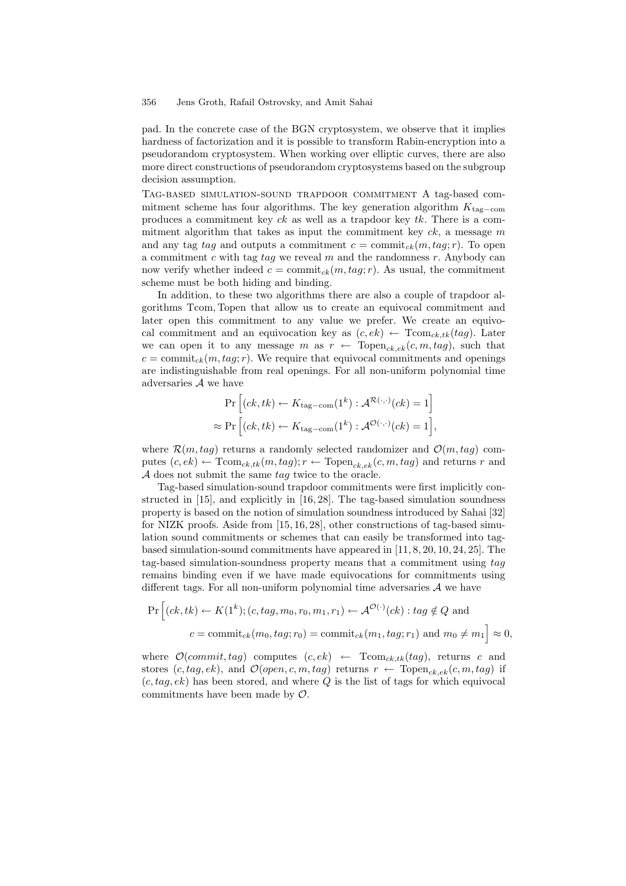pad. In the concrete case of the BGN cryptosystem, we observe that it implies hardness of factorization and it is possible to transform Rabin-encryption into a pseudorandom cryptosystem. When working over elliptic curves, there are also more direct constructions of pseudorandom cryptosystems based on the subgroup decision assumption.

Tag-based simulation-sound trapdoor commitment A tag-based commitment scheme has four algorithms. The key generation algorithm  $K_{\text{tag}-\text{com}}$ produces a commitment key  $ck$  as well as a trapdoor key  $tk$ . There is a commitment algorithm that takes as input the commitment key  $ck$ , a message m and any tag tag and outputs a commitment  $c = \text{commit}_{ck}(m, tag; r)$ . To open a commitment  $c$  with tag tag we reveal  $m$  and the randomness  $r$ . Anybody can now verify whether indeed  $c = \text{commit}_{ck}(m, tag; r)$ . As usual, the commitment scheme must be both hiding and binding.

In addition, to these two algorithms there are also a couple of trapdoor algorithms Tcom, Topen that allow us to create an equivocal commitment and later open this commitment to any value we prefer. We create an equivocal commitment and an equivocation key as  $(c, ek) \leftarrow \text{Tcom}_{ck,tk}(tag)$ . Later we can open it to any message m as  $r \leftarrow \text{Topen}_{ck,ek}(c, m, tag)$ , such that  $c = \text{commit}_{ck}(m, tag; r)$ . We require that equivocal commitments and openings are indistinguishable from real openings. For all non-uniform polynomial time adversaries A we have

$$
\Pr\left[(ck, tk) \leftarrow K_{\text{tag-com}}(1^k) : \mathcal{A}^{\mathcal{R}(\cdot, \cdot)}(ck) = 1\right] \\
\approx \Pr\left[(ck, tk) \leftarrow K_{\text{tag-com}}(1^k) : \mathcal{A}^{\mathcal{O}(\cdot, \cdot)}(ck) = 1\right],
$$

where  $\mathcal{R}(m, tag)$  returns a randomly selected randomizer and  $\mathcal{O}(m, tag)$  computes  $(c, ek) \leftarrow \text{Tcom}_{ck,tk}(m, tag); r \leftarrow \text{Topen}_{ck,ek}(c, m, tag)$  and returns r and  $\mathcal A$  does not submit the same  $tag$  twice to the oracle.

Tag-based simulation-sound trapdoor commitments were first implicitly constructed in [15], and explicitly in [16, 28]. The tag-based simulation soundness property is based on the notion of simulation soundness introduced by Sahai [32] for NIZK proofs. Aside from [15, 16, 28], other constructions of tag-based simulation sound commitments or schemes that can easily be transformed into tagbased simulation-sound commitments have appeared in [11, 8, 20, 10, 24, 25]. The tag-based simulation-soundness property means that a commitment using  $tag$ remains binding even if we have made equivocations for commitments using different tags. For all non-uniform polynomial time adversaries  $A$  we have

$$
\Pr\left[(ck, tk) \leftarrow K(1^k); (c, tag, m_0, r_0, m_1, r_1) \leftarrow \mathcal{A}^{\mathcal{O}(\cdot)}(ck) : tag \notin Q \text{ and}
$$

$$
c = \text{commit}_{ck}(m_0, tag; r_0) = \text{commit}_{ck}(m_1, tag; r_1) \text{ and } m_0 \neq m_1 \right] \approx 0,
$$

where  $\mathcal{O}(commit, tag)$  computes  $(c, ek) \leftarrow \text{Tcom}_{ck,tk}(tag)$ , returns c and stores  $(c, tag, ek)$ , and  $\mathcal{O}(open, c, m, tag)$  returns  $r \leftarrow \text{Topen}_{ck, ek}(c, m, tag)$  if  $(c, tag, ek)$  has been stored, and where Q is the list of tags for which equivocal commitments have been made by  $\mathcal{O}$ .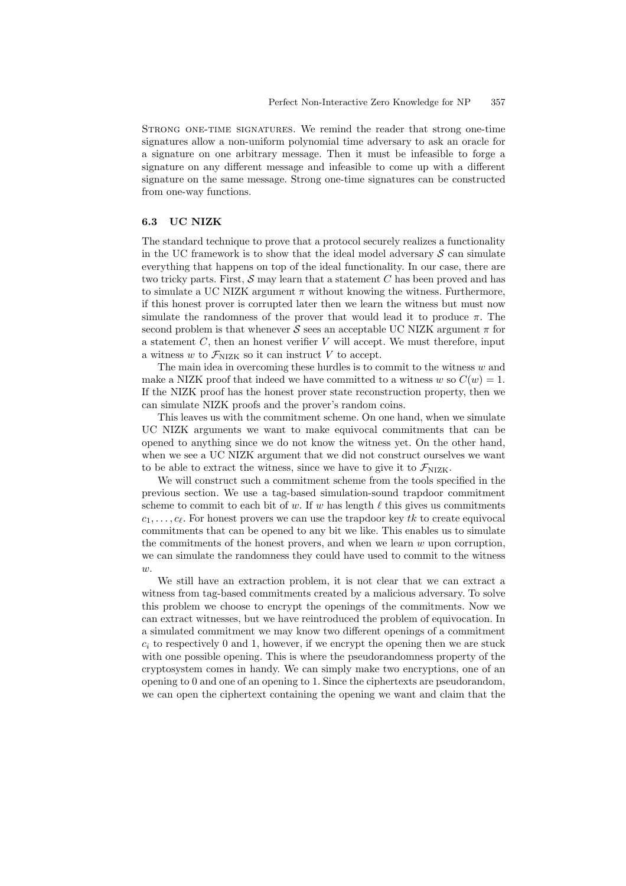Strong one-time signatures. We remind the reader that strong one-time signatures allow a non-uniform polynomial time adversary to ask an oracle for a signature on one arbitrary message. Then it must be infeasible to forge a signature on any different message and infeasible to come up with a different signature on the same message. Strong one-time signatures can be constructed from one-way functions.

### 6.3 UC NIZK

The standard technique to prove that a protocol securely realizes a functionality in the UC framework is to show that the ideal model adversary  $\mathcal S$  can simulate everything that happens on top of the ideal functionality. In our case, there are two tricky parts. First,  $\mathcal S$  may learn that a statement  $C$  has been proved and has to simulate a UC NIZK argument  $\pi$  without knowing the witness. Furthermore, if this honest prover is corrupted later then we learn the witness but must now simulate the randomness of the prover that would lead it to produce  $\pi$ . The second problem is that whenever S sees an acceptable UC NIZK argument  $\pi$  for a statement  $C$ , then an honest verifier  $V$  will accept. We must therefore, input a witness w to  $\mathcal{F}_{\text{NIZK}}$  so it can instruct V to accept.

The main idea in overcoming these hurdles is to commit to the witness  $w$  and make a NIZK proof that indeed we have committed to a witness w so  $C(w) = 1$ . If the NIZK proof has the honest prover state reconstruction property, then we can simulate NIZK proofs and the prover's random coins.

This leaves us with the commitment scheme. On one hand, when we simulate UC NIZK arguments we want to make equivocal commitments that can be opened to anything since we do not know the witness yet. On the other hand, when we see a UC NIZK argument that we did not construct ourselves we want to be able to extract the witness, since we have to give it to  $\mathcal{F}_{\text{NIZK}}$ .

We will construct such a commitment scheme from the tools specified in the previous section. We use a tag-based simulation-sound trapdoor commitment scheme to commit to each bit of w. If w has length  $\ell$  this gives us commitments  $c_1, \ldots, c_\ell$ . For honest provers we can use the trapdoor key tk to create equivocal commitments that can be opened to any bit we like. This enables us to simulate the commitments of the honest provers, and when we learn  $w$  upon corruption, we can simulate the randomness they could have used to commit to the witness  $w$ .

We still have an extraction problem, it is not clear that we can extract a witness from tag-based commitments created by a malicious adversary. To solve this problem we choose to encrypt the openings of the commitments. Now we can extract witnesses, but we have reintroduced the problem of equivocation. In a simulated commitment we may know two different openings of a commitment  $c_i$  to respectively 0 and 1, however, if we encrypt the opening then we are stuck with one possible opening. This is where the pseudorandomness property of the cryptosystem comes in handy. We can simply make two encryptions, one of an opening to 0 and one of an opening to 1. Since the ciphertexts are pseudorandom, we can open the ciphertext containing the opening we want and claim that the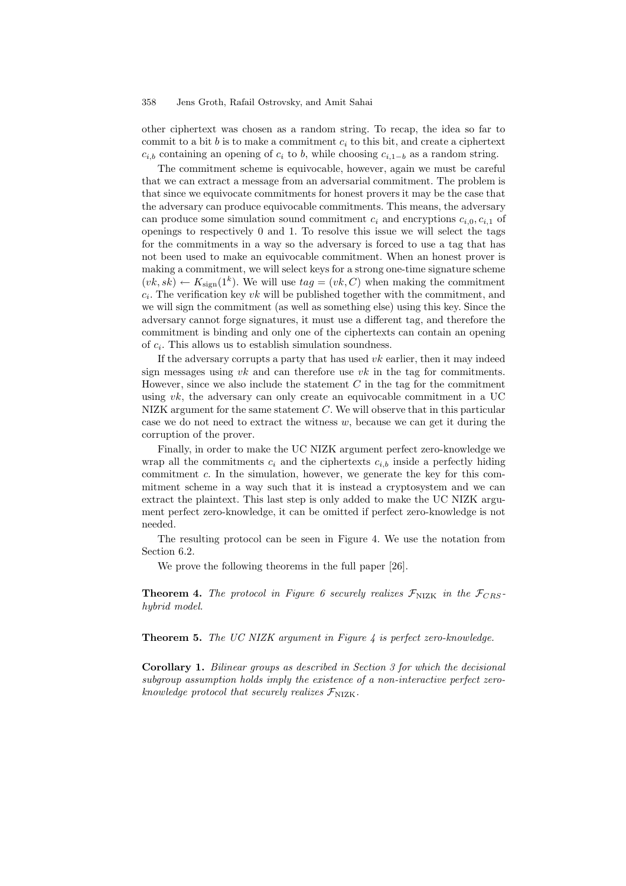other ciphertext was chosen as a random string. To recap, the idea so far to commit to a bit b is to make a commitment  $c_i$  to this bit, and create a ciphertext  $c_{i,b}$  containing an opening of  $c_i$  to b, while choosing  $c_{i,1-b}$  as a random string.

The commitment scheme is equivocable, however, again we must be careful that we can extract a message from an adversarial commitment. The problem is that since we equivocate commitments for honest provers it may be the case that the adversary can produce equivocable commitments. This means, the adversary can produce some simulation sound commitment  $c_i$  and encryptions  $c_{i,0}, c_{i,1}$  of openings to respectively 0 and 1. To resolve this issue we will select the tags for the commitments in a way so the adversary is forced to use a tag that has not been used to make an equivocable commitment. When an honest prover is making a commitment, we will select keys for a strong one-time signature scheme  $(vk, sk) \leftarrow K_{\text{sign}}(1^k)$ . We will use  $tag = (vk, C)$  when making the commitment  $c_i$ . The verification key vk will be published together with the commitment, and we will sign the commitment (as well as something else) using this key. Since the adversary cannot forge signatures, it must use a different tag, and therefore the commitment is binding and only one of the ciphertexts can contain an opening of  $c_i$ . This allows us to establish simulation soundness.

If the adversary corrupts a party that has used  $vk$  earlier, then it may indeed sign messages using  $vk$  and can therefore use  $vk$  in the tag for commitments. However, since we also include the statement  $C$  in the tag for the commitment using  $vk$ , the adversary can only create an equivocable commitment in a UC NIZK argument for the same statement  $C$ . We will observe that in this particular case we do not need to extract the witness w, because we can get it during the corruption of the prover.

Finally, in order to make the UC NIZK argument perfect zero-knowledge we wrap all the commitments  $c_i$  and the ciphertexts  $c_{i,b}$  inside a perfectly hiding commitment c. In the simulation, however, we generate the key for this commitment scheme in a way such that it is instead a cryptosystem and we can extract the plaintext. This last step is only added to make the UC NIZK argument perfect zero-knowledge, it can be omitted if perfect zero-knowledge is not needed.

The resulting protocol can be seen in Figure 4. We use the notation from Section 6.2.

We prove the following theorems in the full paper [26].

**Theorem 4.** The protocol in Figure 6 securely realizes  $\mathcal{F}_{NIZK}$  in the  $\mathcal{F}_{CRS}$ hybrid model.

**Theorem 5.** The UC NIZK argument in Figure 4 is perfect zero-knowledge.

Corollary 1. Bilinear groups as described in Section 3 for which the decisional subgroup assumption holds imply the existence of a non-interactive perfect zeroknowledge protocol that securely realizes  $\mathcal{F}_{\text{NIZK}}$ .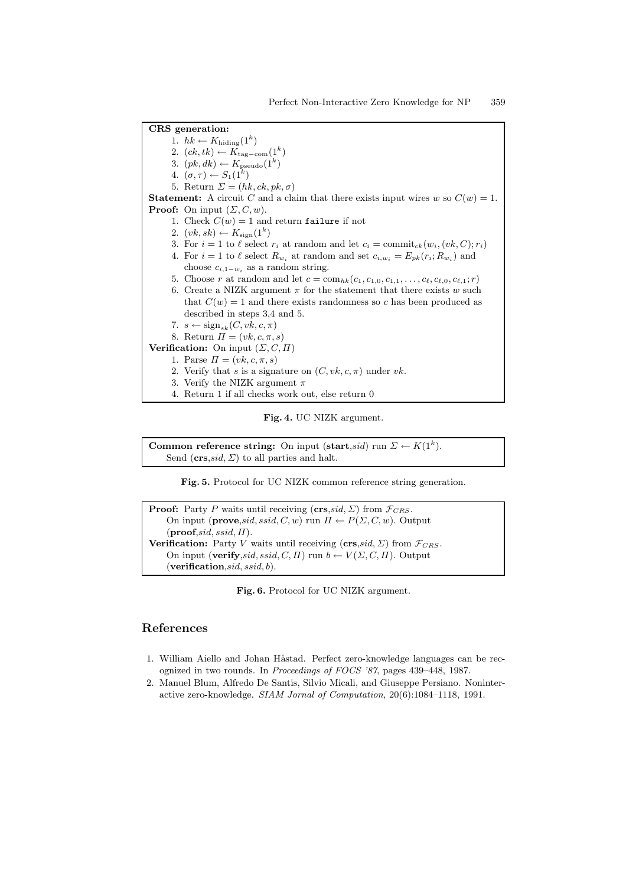CRS generation: 1.  $hk \leftarrow K_{\text{hiding}}(1^k)$ 2.  $(ck, tk) \leftarrow K_{\text{tag-com}}(1^k)$ 3.  $(pk, dk) \leftarrow K_{pseudo}(1^k)$ 4.  $(\sigma, \tau) \leftarrow S_1(1^k)$ 5. Return  $\Sigma = (hk, ck, pk, \sigma)$ **Statement:** A circuit C and a claim that there exists input wires w so  $C(w) = 1$ . **Proof:** On input  $(\Sigma, C, w)$ . 1. Check  $C(w) = 1$  and return failure if not 2.  $(vk, sk) \leftarrow K_{\text{sign}}(1^k)$ 3. For  $i = 1$  to  $\ell$  select  $r_i$  at random and let  $c_i = \text{commit}_{ck}(w_i, (vk, C); r_i)$ 4. For  $i = 1$  to  $\ell$  select  $R_{w_i}$  at random and set  $c_{i,w_i} = E_{pk}(r_i; R_{w_i})$  and choose  $c_{i,1-w_i}$  as a random string. 5. Choose r at random and let  $c = \text{com}_{hk}(c_1, c_{1,0}, c_{1,1}, \ldots, c_{\ell}, c_{\ell,0}, c_{\ell,1}; r)$ 6. Create a NIZK argument  $\pi$  for the statement that there exists w such that  $C(w) = 1$  and there exists randomness so c has been produced as described in steps 3,4 and 5. 7.  $s \leftarrow \text{sign}_{sk}(C, vk, c, \pi)$ 8. Return  $\Pi = (vk, c, \pi, s)$ **Verification:** On input  $(\Sigma, C, \Pi)$ 1. Parse  $\Pi = (vk, c, \pi, s)$ 2. Verify that s is a signature on  $(C, vk, c, \pi)$  under vk. 3. Verify the NIZK argument  $\pi$ 4. Return 1 if all checks work out, else return 0

Fig. 4. UC NIZK argument.

**Common reference string:** On input (start,sid) run  $\Sigma \leftarrow K(1^k)$ . Send (crs, sid,  $\Sigma$ ) to all parties and halt.

Fig. 5. Protocol for UC NIZK common reference string generation.

**Proof:** Party P waits until receiving  $(crs, sid, \Sigma)$  from  $\mathcal{F}_{CRS}$ . On input (prove,sid, ssid, C, w) run  $\Pi \leftarrow P(\Sigma, C, w)$ . Output  $$ **Verification:** Party V waits until receiving  $(crs, sid, \Sigma)$  from  $\mathcal{F}_{CRS}$ . On input (verify, sid, ssid, C,  $\Pi$ ) run  $b \leftarrow V(\Sigma, C, \Pi)$ . Output  $($  verification, *sid*, *ssid*, *b*).

Fig. 6. Protocol for UC NIZK argument.

## References

- 1. William Aiello and Johan Håstad. Perfect zero-knowledge languages can be recognized in two rounds. In Proceedings of FOCS '87, pages 439–448, 1987.
- 2. Manuel Blum, Alfredo De Santis, Silvio Micali, and Giuseppe Persiano. Noninteractive zero-knowledge. SIAM Jornal of Computation, 20(6):1084–1118, 1991.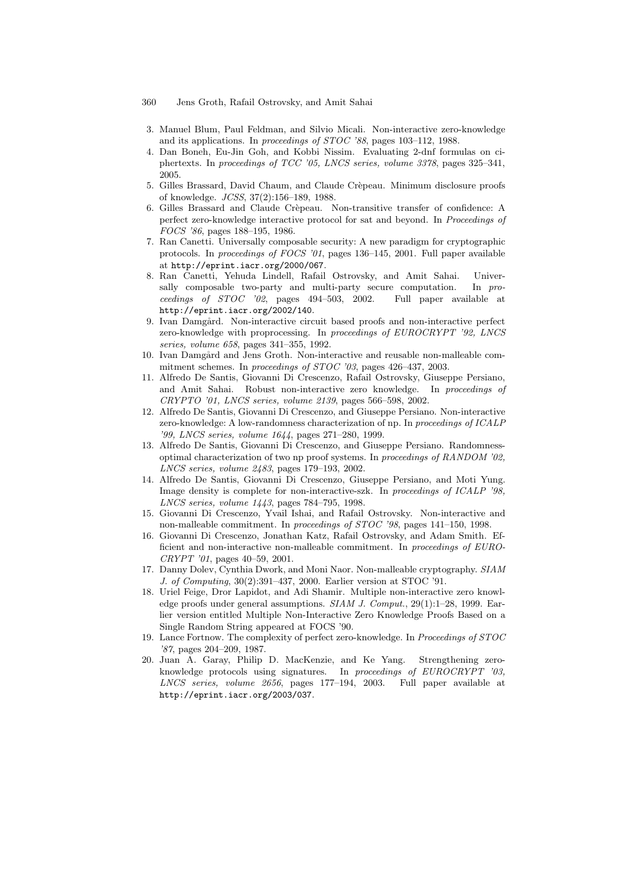- 3. Manuel Blum, Paul Feldman, and Silvio Micali. Non-interactive zero-knowledge and its applications. In proceedings of STOC '88, pages 103–112, 1988.
- 4. Dan Boneh, Eu-Jin Goh, and Kobbi Nissim. Evaluating 2-dnf formulas on ciphertexts. In proceedings of TCC '05, LNCS series, volume 3378, pages 325–341, 2005.
- 5. Gilles Brassard, David Chaum, and Claude Crèpeau. Minimum disclosure proofs of knowledge. JCSS, 37(2):156–189, 1988.
- 6. Gilles Brassard and Claude Crèpeau. Non-transitive transfer of confidence: A perfect zero-knowledge interactive protocol for sat and beyond. In Proceedings of FOCS '86, pages 188–195, 1986.
- 7. Ran Canetti. Universally composable security: A new paradigm for cryptographic protocols. In proceedings of FOCS '01, pages 136–145, 2001. Full paper available at http://eprint.iacr.org/2000/067.
- 8. Ran Canetti, Yehuda Lindell, Rafail Ostrovsky, and Amit Sahai. Universally composable two-party and multi-party secure computation. In proceedings of STOC '02, pages 494–503, 2002. Full paper available at http://eprint.iacr.org/2002/140.
- 9. Ivan Damgård. Non-interactive circuit based proofs and non-interactive perfect zero-knowledge with proprocessing. In proceedings of EUROCRYPT '92, LNCS series, volume 658, pages 341–355, 1992.
- 10. Ivan Damgård and Jens Groth. Non-interactive and reusable non-malleable commitment schemes. In proceedings of STOC '03, pages 426–437, 2003.
- 11. Alfredo De Santis, Giovanni Di Crescenzo, Rafail Ostrovsky, Giuseppe Persiano, and Amit Sahai. Robust non-interactive zero knowledge. In proceedings of CRYPTO '01, LNCS series, volume 2139, pages 566–598, 2002.
- 12. Alfredo De Santis, Giovanni Di Crescenzo, and Giuseppe Persiano. Non-interactive zero-knowledge: A low-randomness characterization of np. In proceedings of ICALP '99, LNCS series, volume 1644, pages 271–280, 1999.
- 13. Alfredo De Santis, Giovanni Di Crescenzo, and Giuseppe Persiano. Randomnessoptimal characterization of two np proof systems. In proceedings of RANDOM '02, LNCS series, volume 2483, pages 179–193, 2002.
- 14. Alfredo De Santis, Giovanni Di Crescenzo, Giuseppe Persiano, and Moti Yung. Image density is complete for non-interactive-szk. In proceedings of ICALP '98, LNCS series, volume 1443, pages 784–795, 1998.
- 15. Giovanni Di Crescenzo, Yvail Ishai, and Rafail Ostrovsky. Non-interactive and non-malleable commitment. In proceedings of STOC '98, pages 141–150, 1998.
- 16. Giovanni Di Crescenzo, Jonathan Katz, Rafail Ostrovsky, and Adam Smith. Efficient and non-interactive non-malleable commitment. In proceedings of EURO-CRYPT '01, pages 40–59, 2001.
- 17. Danny Dolev, Cynthia Dwork, and Moni Naor. Non-malleable cryptography. SIAM J. of Computing, 30(2):391–437, 2000. Earlier version at STOC '91.
- 18. Uriel Feige, Dror Lapidot, and Adi Shamir. Multiple non-interactive zero knowledge proofs under general assumptions. SIAM J. Comput., 29(1):1–28, 1999. Earlier version entitled Multiple Non-Interactive Zero Knowledge Proofs Based on a Single Random String appeared at FOCS '90.
- 19. Lance Fortnow. The complexity of perfect zero-knowledge. In Proceedings of STOC '87, pages 204–209, 1987.
- 20. Juan A. Garay, Philip D. MacKenzie, and Ke Yang. Strengthening zeroknowledge protocols using signatures. In proceedings of EUROCRYPT '03, LNCS series, volume 2656, pages 177–194, 2003. Full paper available at http://eprint.iacr.org/2003/037.